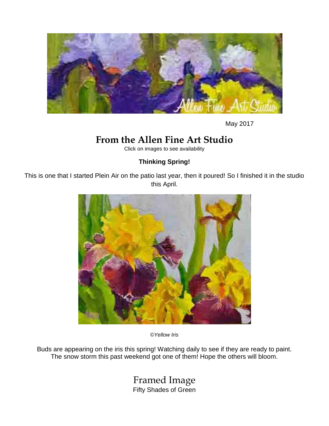

May 2017

### **From the Allen Fine Art Studio**

Click on images to see availability

### **Thinking Spring!**

This is one that I started Plein Air on the patio last year, then it poured! So I finished it in the studio this April.



*©Yellow Iris*

Buds are appearing on the iris this spring! Watching daily to see if they are ready to paint. The snow storm this past weekend got one of them! Hope the others will bloom.

> Framed Image Fifty Shades of Green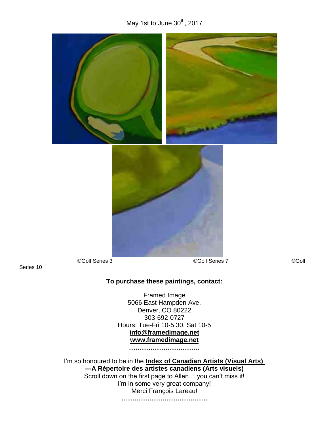May 1st to June  $30<sup>th</sup>$ , 2017



©Golf Series 3 ©Golf Series 7 ©Golf

Series 10

#### **To purchase these paintings, contact:**

Framed Image 5066 East Hampden Ave. Denver, CO 80222 303-692-0727 Hours: Tue-Fri 10-5:30, Sat 10-5 **[info@framedimage.net](mailto:info@framedimage.net) [www.framedimage.net](http://www.framedimage.net/)**

I'm so honoured to be in the **[Index of Canadian Artists \(Visual Arts\)](http://lareau-law.ca/peintres_1A.html) ---A Répertoire des artistes canadiens (Arts visuels)** Scroll down on the first page to Allen….you can't miss it! I'm in some very great company! Merci François Lareau!

**………………………………….**

**……………………………**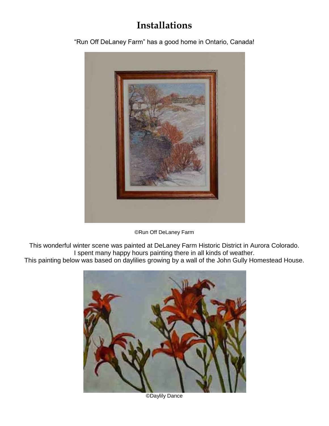## **Installations**

"Run Off DeLaney Farm" has a good home in Ontario, Canada!



©Run Off DeLaney Farm

This wonderful winter scene was painted at DeLaney Farm Historic District in Aurora Colorado. I spent many happy hours painting there in all kinds of weather.

This painting below was based on daylilies growing by a wall of the John Gully Homestead House.



©Daylily Dance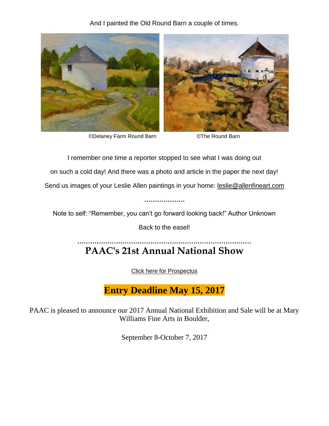And I painted the Old Round Barn a couple of times.



©Delaney Farm Round Barn ©The Round Barn

I remember one time a reporter stopped to see what I was doing out

on such a cold day! And there was a photo and article in the paper the next day!

Send us images of your Leslie Allen paintings in your home: [leslie@allenfineart.com](file:///H:/My%20Documents/Dreamweaver/AFAWebsite/leslie@allenfineart.com)

**……………….**

Note to self: "Remember, you can't go forward looking back!" Author Unknown

Back to the easel!

## **PAAC's 21st Annual National Show**

**………………………………………………………………………**

[Click here for Prospectus](http://www.pleinairartistscolorado.com/resources/Documents/Prospectus%20PAAC%202017.pdf)

**Entry Deadline May 15, 2017**

PAAC is pleased to announce our 2017 Annual National Exhibition and Sale will be at Mary Williams Fine Arts in Boulder,

September 8-October 7, 2017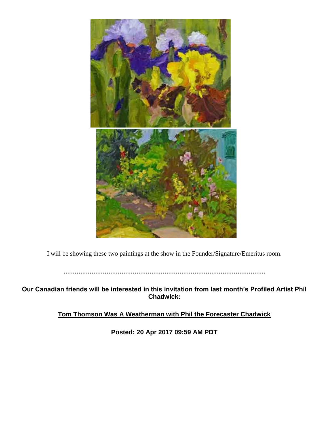

I will be showing these two paintings at the show in the Founder/Signature/Emeritus room.

**………………………………………………………………………………….**

**Our Canadian friends will be interested in this invitation from last month's Profiled Artist Phil Chadwick:**

**[Tom Thomson Was A Weatherman with Phil the Forecaster Chadwick](http://philtheforecaster.blogspot.com/2017/04/tom-thomson-was-weatherman-with-phil.html)**

**Posted: 20 Apr 2017 09:59 AM PDT**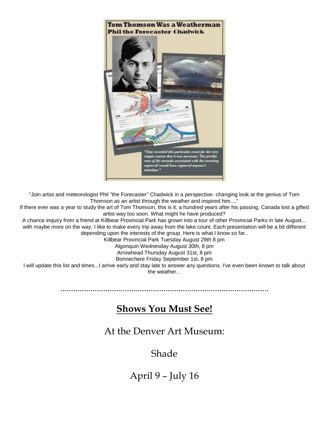

"Join artist and meteorologist Phil "the Forecaster" Chadwick in a perspective- changing look at the genius of Tom Thomson as an artist through the weather and inspired him...."

If there ever was a year to study the art of Tom Thomson, this is it, a hundred years after his passing. Canada lost a gifted artist way too soon. What might he have produced?

A chance inquiry from a friend at Killbear Provincial Park has grown into a tour of other Provincial Parks in late August... with maybe more on the way. I like to make every trip away from the lake count. Each presentation will be a bit different depending upon the interests of the group. Here is what I know so far..

Killbear Provincial Park Tuesday August 29th 8 pm

Algonquin Wednesday August 30th, 8 pm

Arrowhead Thursday August 31st, 8 pm

Bonnechere Friday September 1st, 8 pm

I will update this list and times...I arrive early and stay late to answer any questions. I've even been known to talk about the weather...

**…………………………………………………………………………………….**

### **Shows You Must See!**

### At the Denver Art Museum:

### Shade

## April 9 – July 16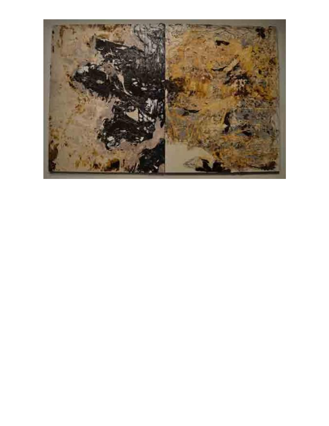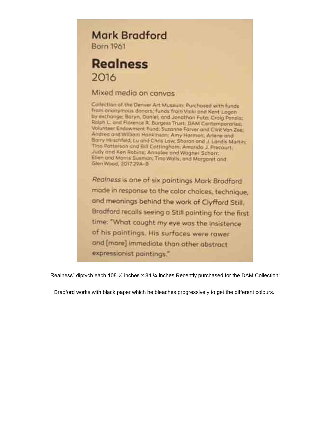# **Mark Bradford**

**Born 1961** 

## **Realness** 2016

#### Mixed media on canvas

Collection of the Derwer Art Museum; Purchased with funds from anonymous donars; funds from Vicki and Kent Logan by exchange: Baryn, Daniel, and Jonathan Futa; Craig Panzia; Rolph L. and Florence R. Burgess Trust; DAM Contemporaries, Volunteer Endowment Fund, Suzanne Forver and Clint Van Zee: Andrea and William Hankinson: Amy Hermore Arlene and Barry Hirschfeld; Lu and Chris Low; Sharan and J. Landis Martin; Tino Patterson and Bill Cottingham; Amando J. Precourt. Judy and Ken Robins; Annalee and Wagnet Schorr. Ellen and Morris Susman: Timo Walls, and Margaret and Glen Wood, 2017 29A-B

Realness is one of six paintings Mark Bradford made in response to the color choices, technique, and meanings behind the work of Clyfford Still. Bradford recalls seeing a Still painting for the first time: "What caught my eye was the insistence of his paintings. His surfaces were rawer and [more] immediate than other abstract expressionist pointings."

"Realness" diptych each 108  $\frac{1}{4}$  inches x 84  $\frac{1}{4}$  inches Recently purchased for the DAM Collection!

Bradford works with black paper which he bleaches progressively to get the different colours.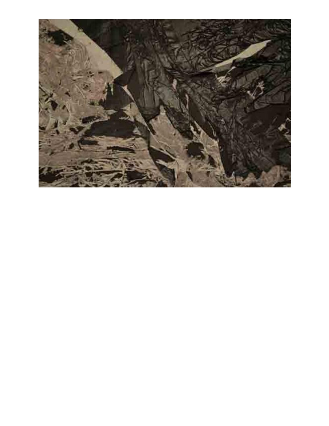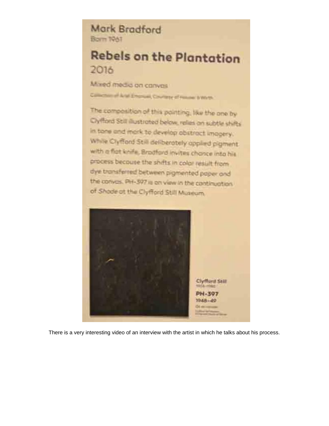Mark Bradford **Born 1061** 

## **Rebels on the Plantation** 2016

Mixed media on canvas Colombia of Arat Emmant Courtesy of Financial Wests.

The composition of this pointing, like the one by Clyfford Still illustrated below, relies on subtle shifts in tone and mork to develop obstract imagery. While Clyfford Still deliberately applied pigment with a flat knife, Bradford invites chance into his process becouse the shifts in color result from dye transferred between pigmented paper and the convas. PH-397 is on view in the continuation. of Shode at the Clyfford Still Museum.



There is a very interesting video of an interview with the artist in which he talks about his process.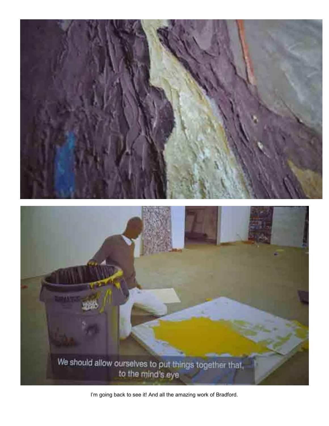

I'm going back to see it! And all the amazing work of Bradford.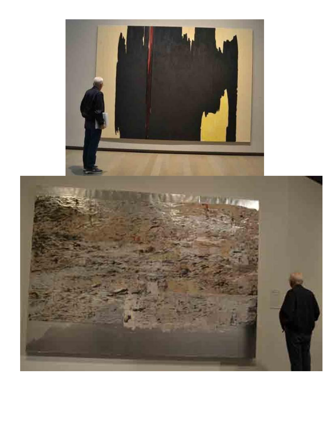

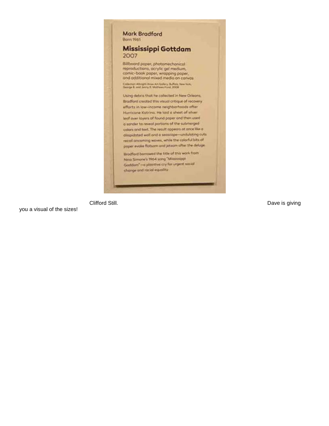

you a visual of the sizes!

Clifford Still. **Dave is giving**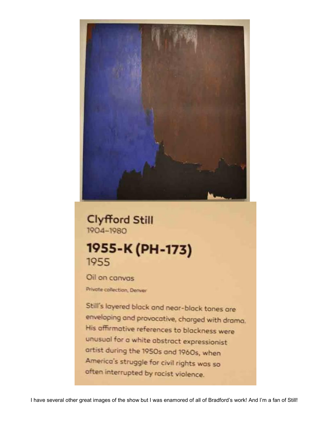

**Clyfford Still** 1904-1980

## 1955-K (PH-173) 1955

Oil on canvas

Private collection, Denver

Still's layered black and near-black tones are enveloping and provocative, charged with drama. His affirmative references to blackness were unusual for a white abstract expressionist artist during the 1950s and 1960s, when America's struggle for civil rights was so often interrupted by racist violence.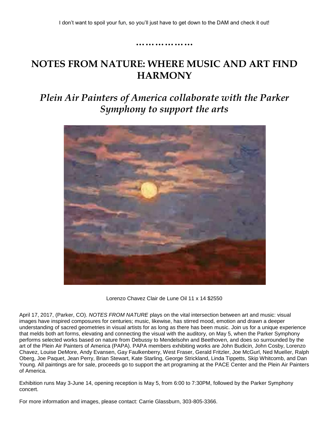**………………**

## **NOTES FROM NATURE: WHERE MUSIC AND ART FIND HARMONY**

## *Plein Air Painters of America collaborate with the Parker Symphony to support the arts*



Lorenzo Chavez Clair de Lune Oil 11 x 14 \$2550

April 17, 2017, (Parker, CO). *NOTES FROM NATURE* plays on the vital intersection between art and music: visual images have inspired composures for centuries; music, likewise, has stirred mood, emotion and drawn a deeper understanding of sacred geometries in visual artists for as long as there has been music. Join us for a unique experience that melds both art forms, elevating and connecting the visual with the auditory, on May 5, when the Parker Symphony performs selected works based on nature from Debussy to Mendelsohn and Beethoven, and does so surrounded by the art of the Plein Air Painters of America (PAPA). PAPA members exhibiting works are John Budicin, John Cosby, Lorenzo Chavez, Louise DeMore, Andy Evansen, Gay Faulkenberry, West Fraser, Gerald Fritzler, Joe McGurl, Ned Mueller, Ralph Oberg, Joe Paquet, Jean Perry, Brian Stewart, Kate Starling, George Strickland, Linda Tippetts, Skip Whitcomb, and Dan Young. All paintings are for sale, proceeds go to support the art programing at the PACE Center and the Plein Air Painters of America.

Exhibition runs May 3-June 14, opening reception is May 5, from 6:00 to 7:30PM, followed by the Parker Symphony concert.

For more information and images, please contact: Carrie Glassburn, 303-805-3366.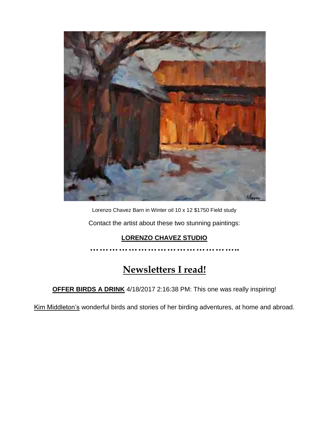

Lorenzo Chavez Barn in Winter oil 10 x 12 \$1750 Field study

Contact the artist about these two stunning paintings:

#### **[LORENZO CHAVEZ STUDIO](mailto:%20fineart@lorenzochavez.com)**

**………………………………………..**

## **Newsletters I read!**

**[OFFER BIRDS A DRINK](https://kimmiddleton.com/nl?nid=94924&type=html)** 4/18/2017 2:16:38 PM: This one was really inspiring!

[Kim Middleton's](https://kimmiddleton.com/) wonderful birds and stories of her birding adventures, at home and abroad.